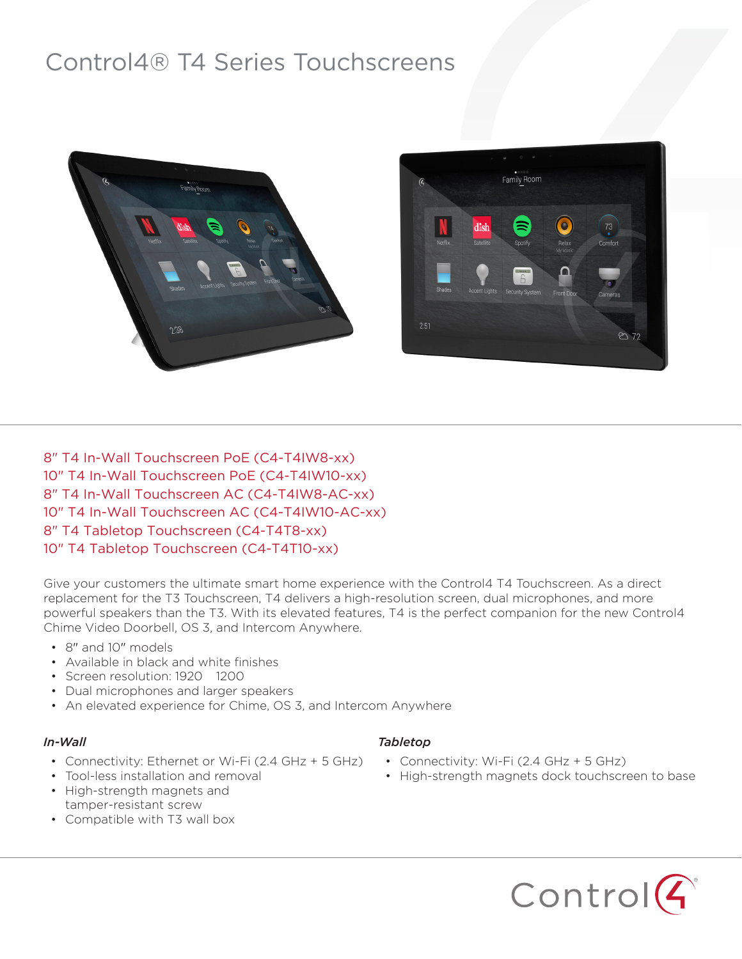# Control4® T4 Series Touchscreens



8" T4 In-Wall Touchscreen PoE (C4-T4IW8-xx) 10" T4 In-Wall Touchscreen PoE (C4-T4IW10-xx) 8" T4 In-Wall Touchscreen AC (C4-T4IW8-AC-xx) 10" T4 In-Wall Touchscreen AC (C4-T4IW10-AC-xx) 8" T4 Tabletop Touchscreen (C4-T4T8-xx) 10" T4 Tabletop Touchscreen (C4-T4T10-xx)

Give your customers the ultimate smart home experience with the Control4 T4 Touchscreen. As a direct replacement for the T3 Touchscreen, T4 delivers a high-resolution screen, dual microphones, and more powerful speakers than the T3. With its elevated features, T4 is the perfect companion for the new Control4 Chime Video Doorbell, OS 3, and Intercom Anywhere.

- 8" and 10" models
- Available in black and white finishes
- Screen resolution: 1920 1200
- Dual microphones and larger speakers
- An elevated experience for Chime, OS 3, and Intercom Anywhere

#### *In-Wall*

- Connectivity: Ethernet or Wi-Fi (2.4 GHz + 5 GHz)
- Tool-less installation and removal • High-strength magnets and
- tamper-resistant screw
- Compatible with T3 wall box

#### *Tabletop*

- Connectivity: Wi-Fi (2.4 GHz + 5 GHz)
- High-strength magnets dock touchscreen to base

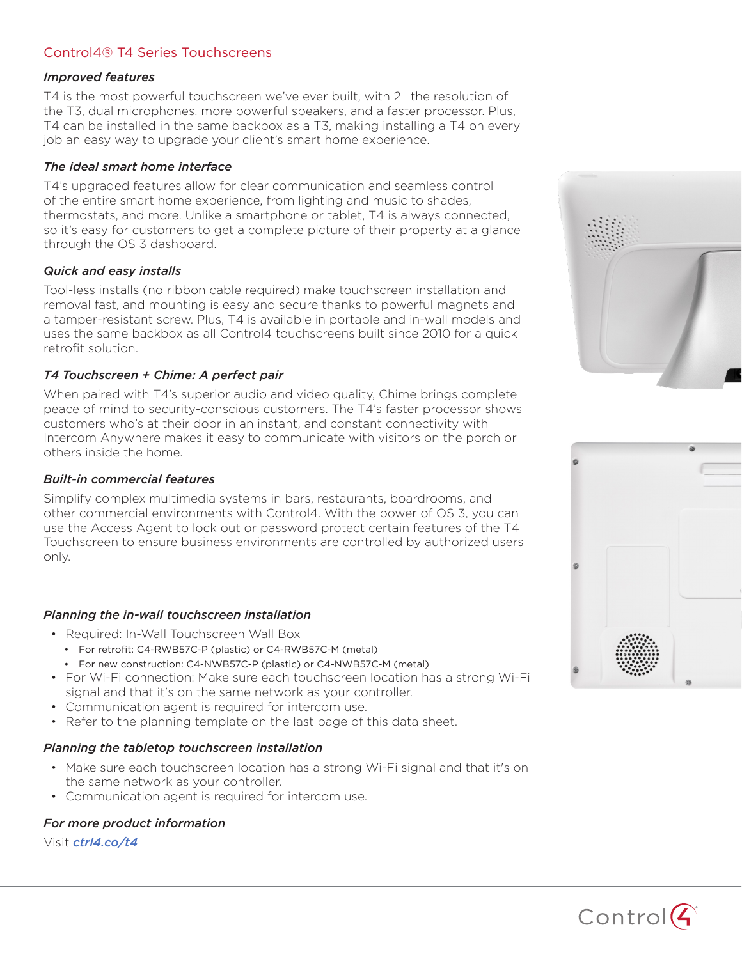# Control4® T4 Series Touchscreens

#### *Improved features*

T4 is the most powerful touchscreen we've ever built, with 2 the resolution of the T3, dual microphones, more powerful speakers, and a faster processor. Plus, T4 can be installed in the same backbox as a T3, making installing a T4 on every job an easy way to upgrade your client's smart home experience.

#### *The ideal smart home interface*

T4's upgraded features allow for clear communication and seamless control of the entire smart home experience, from lighting and music to shades, thermostats, and more. Unlike a smartphone or tablet, T4 is always connected, so it's easy for customers to get a complete picture of their property at a glance through the OS 3 dashboard.

#### *Quick and easy installs*

Tool-less installs (no ribbon cable required) make touchscreen installation and removal fast, and mounting is easy and secure thanks to powerful magnets and a tamper-resistant screw. Plus, T4 is available in portable and in-wall models and uses the same backbox as all Control4 touchscreens built since 2010 for a quick retrofit solution.

### *T4 Touchscreen + Chime: A perfect pair*

When paired with T4's superior audio and video quality, Chime brings complete peace of mind to security-conscious customers. The T4's faster processor shows customers who's at their door in an instant, and constant connectivity with Intercom Anywhere makes it easy to communicate with visitors on the porch or others inside the home.

#### *Built-in commercial features*

Simplify complex multimedia systems in bars, restaurants, boardrooms, and other commercial environments with Control4. With the power of OS 3, you can use the Access Agent to lock out or password protect certain features of the T4 Touchscreen to ensure business environments are controlled by authorized users only.

#### *Planning the in-wall touchscreen installation*

- Required: In-Wall Touchscreen Wall Box
	- For retrofit: C4-RWB57C-P (plastic) or C4-RWB57C-M (metal)
	- For new construction: C4-NWB57C-P (plastic) or C4-NWB57C-M (metal)
- For Wi-Fi connection: Make sure each touchscreen location has a strong Wi-Fi signal and that it's on the same network as your controller.
- Communication agent is required for intercom use.
- Refer to the planning template on the last page of this data sheet.

#### *Planning the tabletop touchscreen installation*

- Make sure each touchscreen location has a strong Wi-Fi signal and that it's on the same network as your controller.
- Communication agent is required for intercom use.

## *For more product information*

Visit *ctrl4.co/t4*





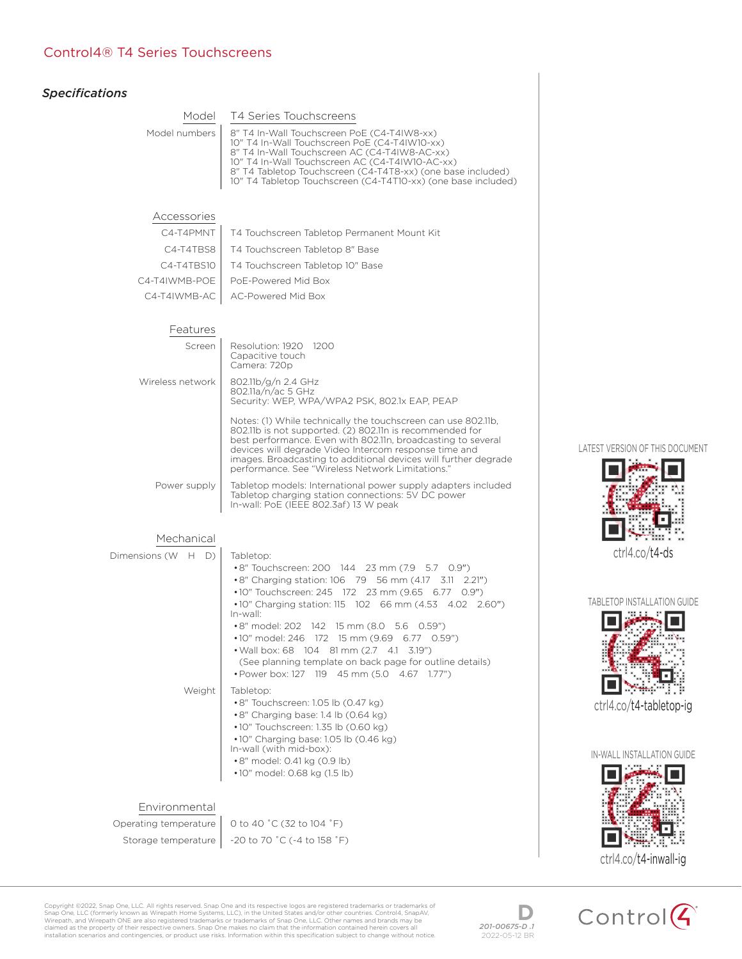## Control4® T4 Series Touchscreens

| <b>Specifications</b>        |                                                                                                                                                                                                                                                                                                                                                                                                                                                                                                                                                                                                                                                                                                                                                                                         |
|------------------------------|-----------------------------------------------------------------------------------------------------------------------------------------------------------------------------------------------------------------------------------------------------------------------------------------------------------------------------------------------------------------------------------------------------------------------------------------------------------------------------------------------------------------------------------------------------------------------------------------------------------------------------------------------------------------------------------------------------------------------------------------------------------------------------------------|
| Model                        | T4 Series Touchscreens                                                                                                                                                                                                                                                                                                                                                                                                                                                                                                                                                                                                                                                                                                                                                                  |
| Model numbers                | 8" T4 In-Wall Touchscreen PoE (C4-T4IW8-xx)<br>10" T4 In-Wall Touchscreen PoE (C4-T4IW10-xx)<br>8" T4 In-Wall Touchscreen AC (C4-T4IW8-AC-xx)<br>10" T4 In-Wall Touchscreen AC (C4-T4IW10-AC-xx)<br>8" T4 Tabletop Touchscreen (C4-T4T8-xx) (one base included)<br>10" T4 Tabletop Touchscreen (C4-T4T10-xx) (one base included)                                                                                                                                                                                                                                                                                                                                                                                                                                                        |
| Accessories                  |                                                                                                                                                                                                                                                                                                                                                                                                                                                                                                                                                                                                                                                                                                                                                                                         |
| C4-T4PMNT                    | T4 Touchscreen Tabletop Permanent Mount Kit                                                                                                                                                                                                                                                                                                                                                                                                                                                                                                                                                                                                                                                                                                                                             |
| C4-T4TBS8                    | T4 Touchscreen Tabletop 8" Base                                                                                                                                                                                                                                                                                                                                                                                                                                                                                                                                                                                                                                                                                                                                                         |
| C4-T4TBS10                   | T4 Touchscreen Tabletop 10" Base                                                                                                                                                                                                                                                                                                                                                                                                                                                                                                                                                                                                                                                                                                                                                        |
| C4-T4IWMB-POE                | PoE-Powered Mid Box                                                                                                                                                                                                                                                                                                                                                                                                                                                                                                                                                                                                                                                                                                                                                                     |
| C4-T4IWMB-AC                 | AC-Powered Mid Box                                                                                                                                                                                                                                                                                                                                                                                                                                                                                                                                                                                                                                                                                                                                                                      |
| Features                     |                                                                                                                                                                                                                                                                                                                                                                                                                                                                                                                                                                                                                                                                                                                                                                                         |
| Screen                       | Resolution: 1920 1200<br>Capacitive touch<br>Camera: 720p                                                                                                                                                                                                                                                                                                                                                                                                                                                                                                                                                                                                                                                                                                                               |
| Wireless network             | 802.11b/g/n 2.4 GHz<br>802.11a/n/ac 5 GHz<br>Security: WEP, WPA/WPA2 PSK, 802.1x EAP, PEAP                                                                                                                                                                                                                                                                                                                                                                                                                                                                                                                                                                                                                                                                                              |
|                              | Notes: (1) While technically the touchscreen can use 802.11b,<br>802.11b is not supported. (2) 802.11n is recommended for<br>best performance. Even with 802.11n, broadcasting to several<br>devices will degrade Video Intercom response time and<br>images. Broadcasting to additional devices will further degrade<br>performance. See "Wireless Network Limitations."                                                                                                                                                                                                                                                                                                                                                                                                               |
| Power supply                 | Tabletop models: International power supply adapters included<br>Tabletop charging station connections: 5V DC power<br>In-wall: PoE (IEEE 802.3af) 13 W peak                                                                                                                                                                                                                                                                                                                                                                                                                                                                                                                                                                                                                            |
| Mechanical                   |                                                                                                                                                                                                                                                                                                                                                                                                                                                                                                                                                                                                                                                                                                                                                                                         |
| Dimensions (W H D)<br>Weight | Tabletop:<br>•8" Touchscreen: 200 144 23 mm (7.9 5.7 0.9")<br>•8" Charging station: 106 79 56 mm (4.17 3.11 2.21")<br>•10" Touchscreen: 245 172 23 mm (9.65 6.77 0.9")<br>•10" Charging station: 115 102 66 mm (4.53 4.02 2.60")<br>In-wall:<br>•8" model: 202 142 15 mm (8.0 5.6 0.59")<br>•10" model: 246 172 15 mm (9.69 6.77 0.59")<br>• Wall box: 68 104 81 mm (2.7 4.1 3.19")<br>(See planning template on back page for outline details)<br>• Power box: 127 119 45 mm (5.0 4.67 1.77")<br>Tabletop:<br>$\cdot$ 8" Touchscreen: 1.05 lb (0.47 kg)<br>•8" Charging base: 1.4 lb (0.64 kg)<br>$\cdot$ 10" Touchscreen: 1.35 lb (0.60 kg)<br>$\cdot$ 10" Charging base: 1.05 lb (0.46 kg)<br>In-wall (with mid-box):<br>•8" model: 0.41 kg (0.9 lb)<br>•10" model: 0.68 kg (1.5 lb) |
| Environmental                |                                                                                                                                                                                                                                                                                                                                                                                                                                                                                                                                                                                                                                                                                                                                                                                         |
| Operating temperature        | 0 to 40 °C (32 to 104 °F)                                                                                                                                                                                                                                                                                                                                                                                                                                                                                                                                                                                                                                                                                                                                                               |
| Storage temperature          | -20 to 70 °C (-4 to 158 °F)                                                                                                                                                                                                                                                                                                                                                                                                                                                                                                                                                                                                                                                                                                                                                             |
|                              |                                                                                                                                                                                                                                                                                                                                                                                                                                                                                                                                                                                                                                                                                                                                                                                         |

LATEST VERSION OF THIS DOCUMENT



TABLETOP INSTALLATION GUIDE



ctrl4.co/t4-tabletop-ig

IN-WALL INSTALLATION GUIDE



Copyright ©2022, Snap One, LLC. All rights reserved. Snap One and its respective logos are registered trademarks or trademarks of<br>Snap One, LLC (formerly known as Wirepath Home Systems, LLC.) in the United States and/or o